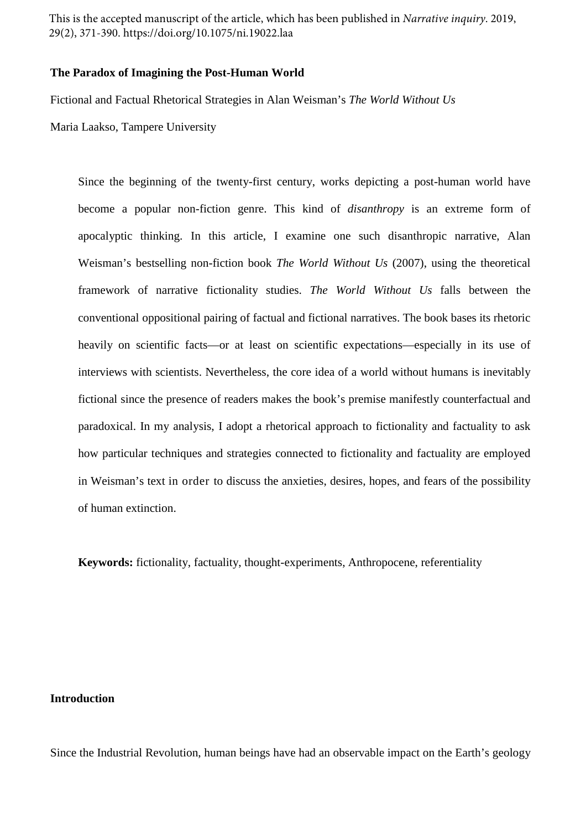This is the accepted manuscript of the article, which has been published in *Narrative inquiry*. 2019, 29(2), 371-390. https://doi.org/10.1075/ni.19022.laa

## **The Paradox of Imagining the Post-Human World**

Fictional and Factual Rhetorical Strategies in Alan Weisman's *The World Without Us*

Maria Laakso, Tampere University

Since the beginning of the twenty-first century, works depicting a post-human world have become a popular non-fiction genre. This kind of *disanthropy* is an extreme form of apocalyptic thinking. In this article, I examine one such disanthropic narrative, Alan Weisman's bestselling non-fiction book *The World Without Us* (2007), using the theoretical framework of narrative fictionality studies. *The World Without Us* falls between the conventional oppositional pairing of factual and fictional narratives. The book bases its rhetoric heavily on scientific facts—or at least on scientific expectations—especially in its use of interviews with scientists. Nevertheless, the core idea of a world without humans is inevitably fictional since the presence of readers makes the book's premise manifestly counterfactual and paradoxical. In my analysis, I adopt a rhetorical approach to fictionality and factuality to ask how particular techniques and strategies connected to fictionality and factuality are employed in Weisman's text in order to discuss the anxieties, desires, hopes, and fears of the possibility of human extinction.

**Keywords:** fictionality, factuality, thought-experiments, Anthropocene, referentiality

# **Introduction**

Since the Industrial Revolution, human beings have had an observable impact on the Earth's geology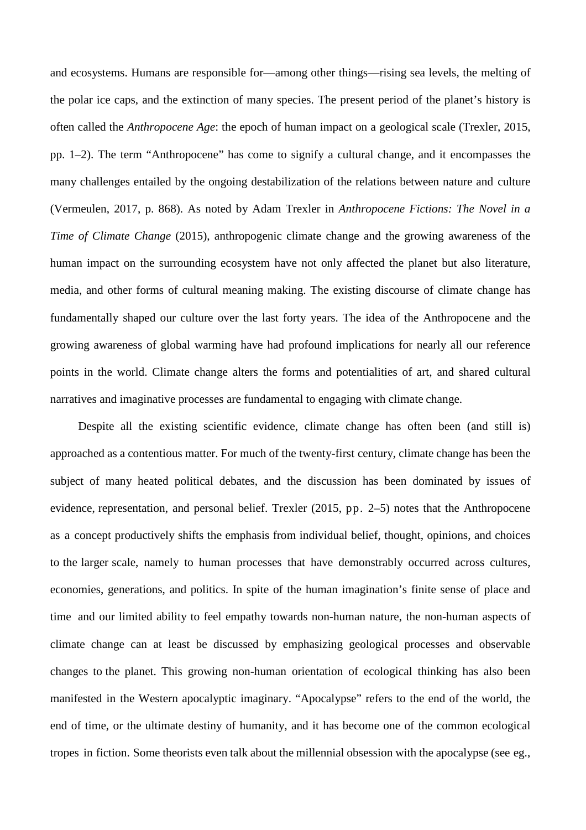and ecosystems. Humans are responsible for—among other things—rising sea levels, the melting of the polar ice caps, and the extinction of many species. The present period of the planet's history is often called the *Anthropocene Age*: the epoch of human impact on a geological scale (Trexler, 2015, pp. 1–2). The term "Anthropocene" has come to signify a cultural change, and it encompasses the many challenges entailed by the ongoing destabilization of the relations between nature and culture (Vermeulen, 2017, p. 868). As noted by Adam Trexler in *Anthropocene Fictions: The Novel in a Time of Climate Change* (2015), anthropogenic climate change and the growing awareness of the human impact on the surrounding ecosystem have not only affected the planet but also literature, media, and other forms of cultural meaning making. The existing discourse of climate change has fundamentally shaped our culture over the last forty years. The idea of the Anthropocene and the growing awareness of global warming have had profound implications for nearly all our reference points in the world. Climate change alters the forms and potentialities of art, and shared cultural narratives and imaginative processes are fundamental to engaging with climate change.

Despite all the existing scientific evidence, climate change has often been (and still is) approached as a contentious matter. For much of the twenty-first century, climate change has been the subject of many heated political debates, and the discussion has been dominated by issues of evidence, representation, and personal belief. Trexler (2015, pp. 2–5) notes that the Anthropocene as a concept productively shifts the emphasis from individual belief, thought, opinions, and choices to the larger scale, namely to human processes that have demonstrably occurred across cultures, economies, generations, and politics. In spite of the human imagination's finite sense of place and time and our limited ability to feel empathy towards non-human nature, the non-human aspects of climate change can at least be discussed by emphasizing geological processes and observable changes to the planet. This growing non-human orientation of ecological thinking has also been manifested in the Western apocalyptic imaginary. "Apocalypse" refers to the end of the world, the end of time, or the ultimate destiny of humanity, and it has become one of the common ecological tropes in fiction. Some theorists even talk about the millennial obsession with the apocalypse (see eg.,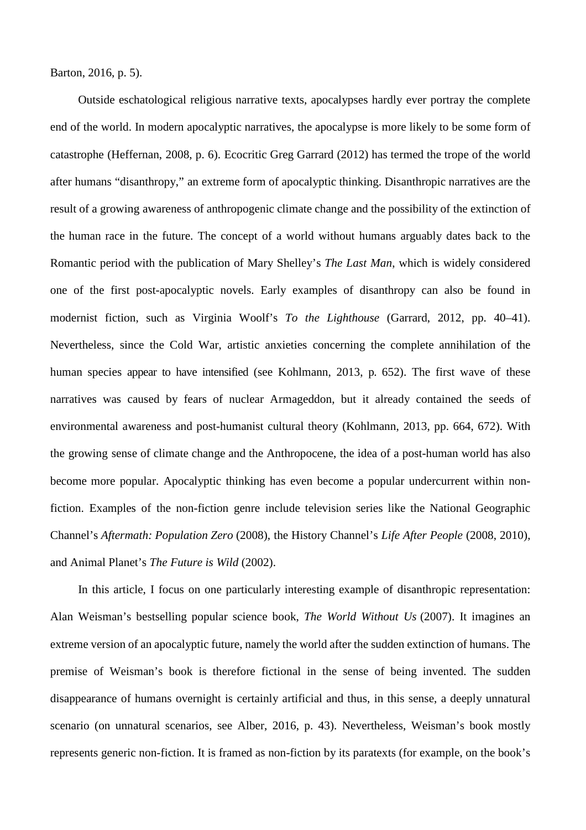Barton, 2016, p. 5).

Outside eschatological religious narrative texts, apocalypses hardly ever portray the complete end of the world. In modern apocalyptic narratives, the apocalypse is more likely to be some form of catastrophe (Heffernan, 2008, p. 6). Ecocritic Greg Garrard (2012) has termed the trope of the world after humans "disanthropy," an extreme form of apocalyptic thinking. Disanthropic narratives are the result of a growing awareness of anthropogenic climate change and the possibility of the extinction of the human race in the future. The concept of a world without humans arguably dates back to the Romantic period with the publication of Mary Shelley's *The Last Man*, which is widely considered one of the first post-apocalyptic novels. Early examples of disanthropy can also be found in modernist fiction, such as Virginia Woolf's *To the Lighthouse* (Garrard, 2012, pp. 40–41). Nevertheless, since the Cold War, artistic anxieties concerning the complete annihilation of the human species appear to have intensified (see Kohlmann, 2013, p. 652). The first wave of these narratives was caused by fears of nuclear Armageddon, but it already contained the seeds of environmental awareness and post-humanist cultural theory (Kohlmann, 2013, pp. 664, 672). With the growing sense of climate change and the Anthropocene, the idea of a post-human world has also become more popular. Apocalyptic thinking has even become a popular undercurrent within nonfiction. Examples of the non-fiction genre include television series like the National Geographic Channel's *Aftermath: Population Zero* (2008), the History Channel's *Life After People* (2008, 2010), and Animal Planet's *The Future is Wild* (2002).

In this article, I focus on one particularly interesting example of disanthropic representation: Alan Weisman's bestselling popular science book, *The World Without Us* (2007). It imagines an extreme version of an apocalyptic future, namely the world after the sudden extinction of humans. The premise of Weisman's book is therefore fictional in the sense of being invented. The sudden disappearance of humans overnight is certainly artificial and thus, in this sense, a deeply unnatural scenario (on unnatural scenarios, see Alber, 2016, p. 43). Nevertheless, Weisman's book mostly represents generic non-fiction. It is framed as non-fiction by its paratexts (for example, on the book's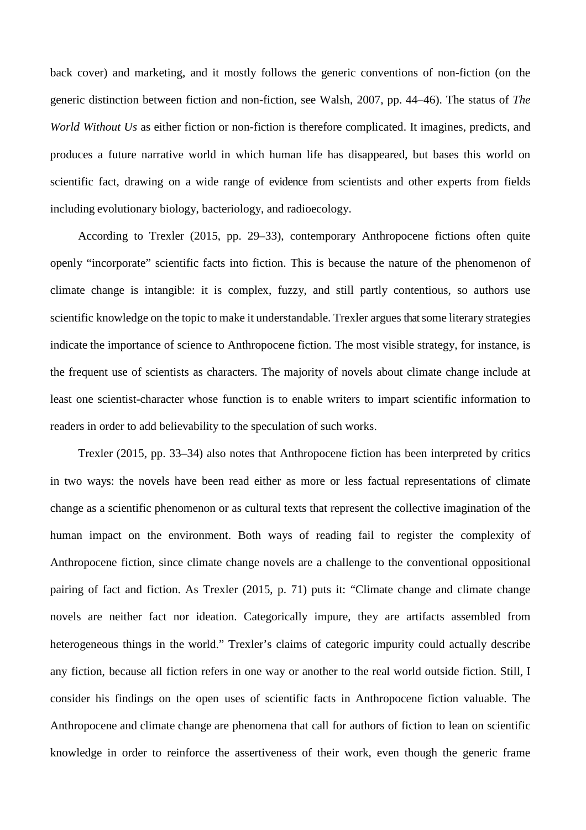back cover) and marketing, and it mostly follows the generic conventions of non-fiction (on the generic distinction between fiction and non-fiction, see Walsh, 2007, pp. 44–46). The status of *The World Without Us* as either fiction or non-fiction is therefore complicated. It imagines, predicts, and produces a future narrative world in which human life has disappeared, but bases this world on scientific fact, drawing on a wide range of evidence from scientists and other experts from fields including evolutionary biology, bacteriology, and radioecology.

According to Trexler (2015, pp. 29–33), contemporary Anthropocene fictions often quite openly "incorporate" scientific facts into fiction. This is because the nature of the phenomenon of climate change is intangible: it is complex, fuzzy, and still partly contentious, so authors use scientific knowledge on the topic to make it understandable. Trexler argues that some literary strategies indicate the importance of science to Anthropocene fiction. The most visible strategy, for instance, is the frequent use of scientists as characters. The majority of novels about climate change include at least one scientist-character whose function is to enable writers to impart scientific information to readers in order to add believability to the speculation of such works.

Trexler (2015, pp. 33–34) also notes that Anthropocene fiction has been interpreted by critics in two ways: the novels have been read either as more or less factual representations of climate change as a scientific phenomenon or as cultural texts that represent the collective imagination of the human impact on the environment. Both ways of reading fail to register the complexity of Anthropocene fiction, since climate change novels are a challenge to the conventional oppositional pairing of fact and fiction. As Trexler (2015, p. 71) puts it: "Climate change and climate change novels are neither fact nor ideation. Categorically impure, they are artifacts assembled from heterogeneous things in the world." Trexler's claims of categoric impurity could actually describe any fiction, because all fiction refers in one way or another to the real world outside fiction. Still, I consider his findings on the open uses of scientific facts in Anthropocene fiction valuable. The Anthropocene and climate change are phenomena that call for authors of fiction to lean on scientific knowledge in order to reinforce the assertiveness of their work, even though the generic frame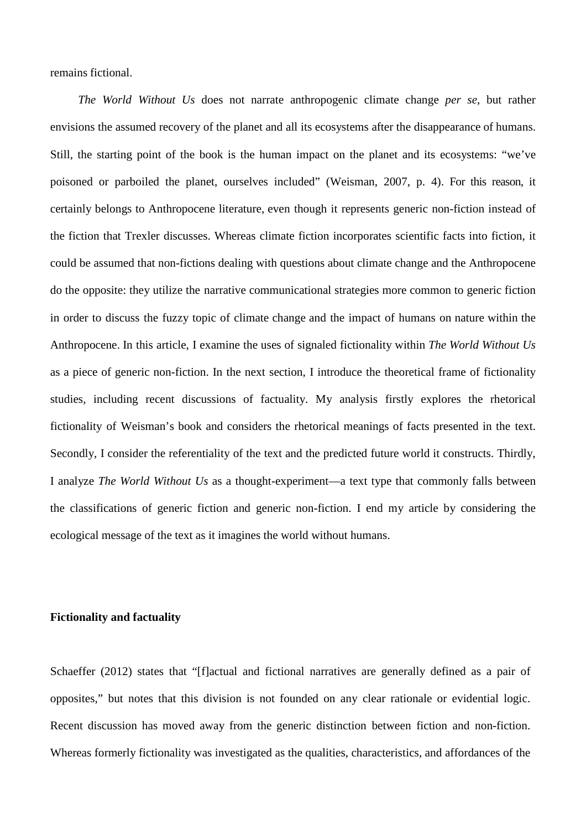remains fictional.

*The World Without Us* does not narrate anthropogenic climate change *per se*, but rather envisions the assumed recovery of the planet and all its ecosystems after the disappearance of humans. Still, the starting point of the book is the human impact on the planet and its ecosystems: "we've poisoned or parboiled the planet, ourselves included" (Weisman, 2007, p. 4). For this reason, it certainly belongs to Anthropocene literature, even though it represents generic non-fiction instead of the fiction that Trexler discusses. Whereas climate fiction incorporates scientific facts into fiction, it could be assumed that non-fictions dealing with questions about climate change and the Anthropocene do the opposite: they utilize the narrative communicational strategies more common to generic fiction in order to discuss the fuzzy topic of climate change and the impact of humans on nature within the Anthropocene. In this article, I examine the uses of signaled fictionality within *The World Without Us* as a piece of generic non-fiction. In the next section, I introduce the theoretical frame of fictionality studies, including recent discussions of factuality. My analysis firstly explores the rhetorical fictionality of Weisman's book and considers the rhetorical meanings of facts presented in the text. Secondly, I consider the referentiality of the text and the predicted future world it constructs. Thirdly, I analyze *The World Without Us* as a thought-experiment—a text type that commonly falls between the classifications of generic fiction and generic non-fiction. I end my article by considering the ecological message of the text as it imagines the world without humans.

#### **Fictionality and factuality**

Schaeffer (2012) states that "[f]actual and fictional narratives are generally defined as a pair of opposites," but notes that this division is not founded on any clear rationale or evidential logic. Recent discussion has moved away from the generic distinction between fiction and non-fiction. Whereas formerly fictionality was investigated as the qualities, characteristics, and affordances of the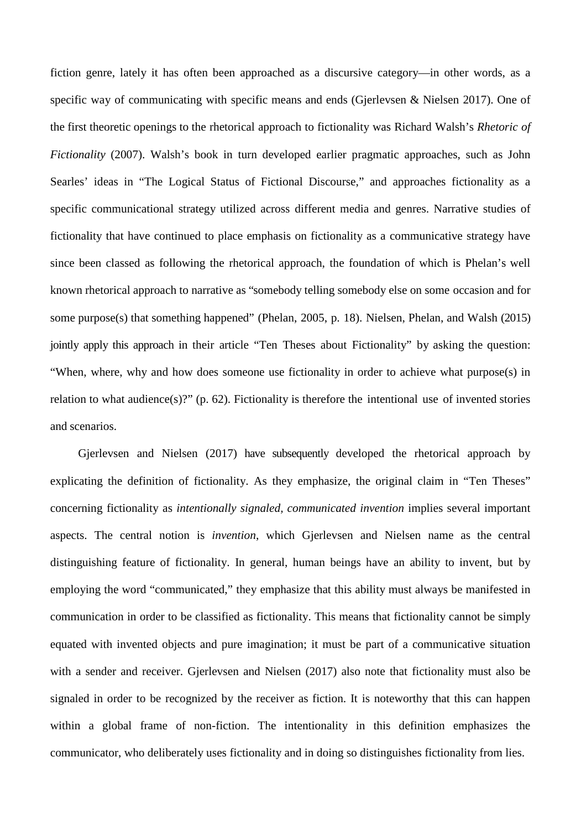fiction genre, lately it has often been approached as a discursive category—in other words, as a specific way of communicating with specific means and ends (Gjerlevsen & Nielsen 2017). One of the first theoretic openings to the rhetorical approach to fictionality was Richard Walsh's *Rhetoric of Fictionality* (2007). Walsh's book in turn developed earlier pragmatic approaches, such as John Searles' ideas in "The Logical Status of Fictional Discourse," and approaches fictionality as a specific communicational strategy utilized across different media and genres. Narrative studies of fictionality that have continued to place emphasis on fictionality as a communicative strategy have since been classed as following the rhetorical approach, the foundation of which is Phelan's well known rhetorical approach to narrative as "somebody telling somebody else on some occasion and for some purpose(s) that something happened" (Phelan, 2005, p. 18). Nielsen, Phelan, and Walsh (2015) jointly apply this approach in their article "Ten Theses about Fictionality" by asking the question: "When, where, why and how does someone use fictionality in order to achieve what purpose(s) in relation to what audience(s)?" (p. 62). Fictionality is therefore the intentional use of invented stories and scenarios.

Gjerlevsen and Nielsen (2017) have subsequently developed the rhetorical approach by explicating the definition of fictionality. As they emphasize, the original claim in "Ten Theses" concerning fictionality as *intentionally signaled, communicated invention* implies several important aspects. The central notion is *invention*, which Gjerlevsen and Nielsen name as the central distinguishing feature of fictionality. In general, human beings have an ability to invent, but by employing the word "communicated," they emphasize that this ability must always be manifested in communication in order to be classified as fictionality. This means that fictionality cannot be simply equated with invented objects and pure imagination; it must be part of a communicative situation with a sender and receiver. Gjerlevsen and Nielsen (2017) also note that fictionality must also be signaled in order to be recognized by the receiver as fiction. It is noteworthy that this can happen within a global frame of non-fiction. The intentionality in this definition emphasizes the communicator, who deliberately uses fictionality and in doing so distinguishes fictionality from lies.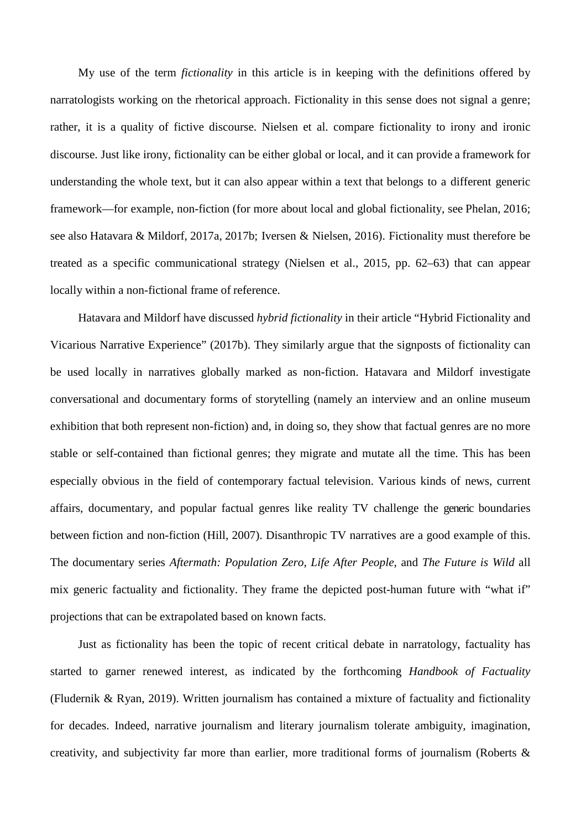My use of the term *fictionality* in this article is in keeping with the definitions offered by narratologists working on the rhetorical approach. Fictionality in this sense does not signal a genre; rather, it is a quality of fictive discourse. Nielsen et al. compare fictionality to irony and ironic discourse. Just like irony, fictionality can be either global or local, and it can provide a framework for understanding the whole text, but it can also appear within a text that belongs to a different generic framework—for example, non-fiction (for more about local and global fictionality, see Phelan, 2016; see also Hatavara & Mildorf, 2017a, 2017b; Iversen & Nielsen, 2016). Fictionality must therefore be treated as a specific communicational strategy (Nielsen et al., 2015, pp. 62–63) that can appear locally within a non-fictional frame of reference.

Hatavara and Mildorf have discussed *hybrid fictionality* in their article "Hybrid Fictionality and Vicarious Narrative Experience" (2017b). They similarly argue that the signposts of fictionality can be used locally in narratives globally marked as non-fiction. Hatavara and Mildorf investigate conversational and documentary forms of storytelling (namely an interview and an online museum exhibition that both represent non-fiction) and, in doing so, they show that factual genres are no more stable or self-contained than fictional genres; they migrate and mutate all the time. This has been especially obvious in the field of contemporary factual television. Various kinds of news, current affairs, documentary, and popular factual genres like reality TV challenge the generic boundaries between fiction and non-fiction (Hill, 2007). Disanthropic TV narratives are a good example of this. The documentary series *Aftermath: Population Zero*, *Life After People*, and *The Future is Wild* all mix generic factuality and fictionality. They frame the depicted post-human future with "what if" projections that can be extrapolated based on known facts.

Just as fictionality has been the topic of recent critical debate in narratology, factuality has started to garner renewed interest, as indicated by the forthcoming *Handbook of Factuality*  (Fludernik & Ryan, 2019). Written journalism has contained a mixture of factuality and fictionality for decades. Indeed, narrative journalism and literary journalism tolerate ambiguity, imagination, creativity, and subjectivity far more than earlier, more traditional forms of journalism (Roberts &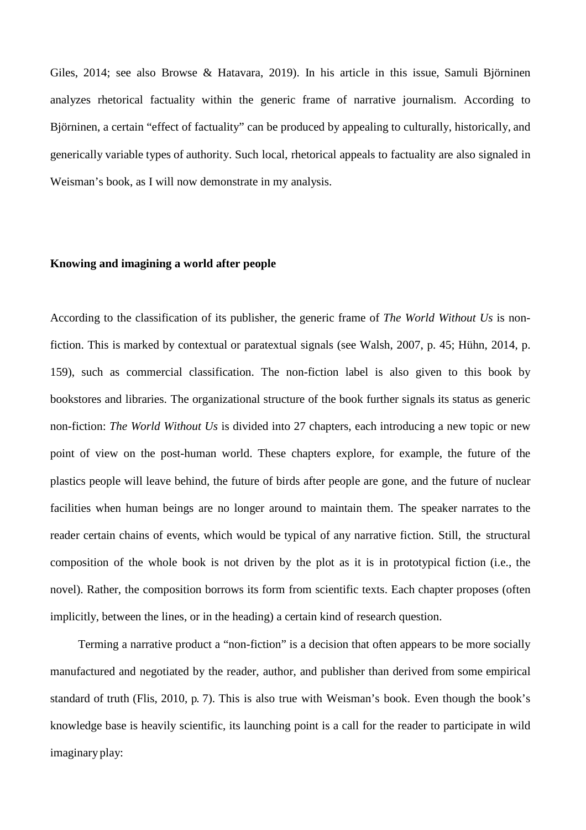Giles, 2014; see also Browse & Hatavara, 2019). In his article in this issue, Samuli Björninen analyzes rhetorical factuality within the generic frame of narrative journalism. According to Björninen, a certain "effect of factuality" can be produced by appealing to culturally, historically, and generically variable types of authority. Such local, rhetorical appeals to factuality are also signaled in Weisman's book, as I will now demonstrate in my analysis.

#### **Knowing and imagining a world after people**

According to the classification of its publisher, the generic frame of *The World Without Us* is nonfiction. This is marked by contextual or paratextual signals (see Walsh, 2007, p. 45; Hühn, 2014, p. 159), such as commercial classification. The non-fiction label is also given to this book by bookstores and libraries. The organizational structure of the book further signals its status as generic non-fiction: *The World Without Us* is divided into 27 chapters, each introducing a new topic or new point of view on the post-human world. These chapters explore, for example, the future of the plastics people will leave behind, the future of birds after people are gone, and the future of nuclear facilities when human beings are no longer around to maintain them. The speaker narrates to the reader certain chains of events, which would be typical of any narrative fiction. Still, the structural composition of the whole book is not driven by the plot as it is in prototypical fiction (i.e., the novel). Rather, the composition borrows its form from scientific texts. Each chapter proposes (often implicitly, between the lines, or in the heading) a certain kind of research question.

Terming a narrative product a "non-fiction" is a decision that often appears to be more socially manufactured and negotiated by the reader, author, and publisher than derived from some empirical standard of truth (Flis, 2010, p. 7). This is also true with Weisman's book. Even though the book's knowledge base is heavily scientific, its launching point is a call for the reader to participate in wild imaginary play: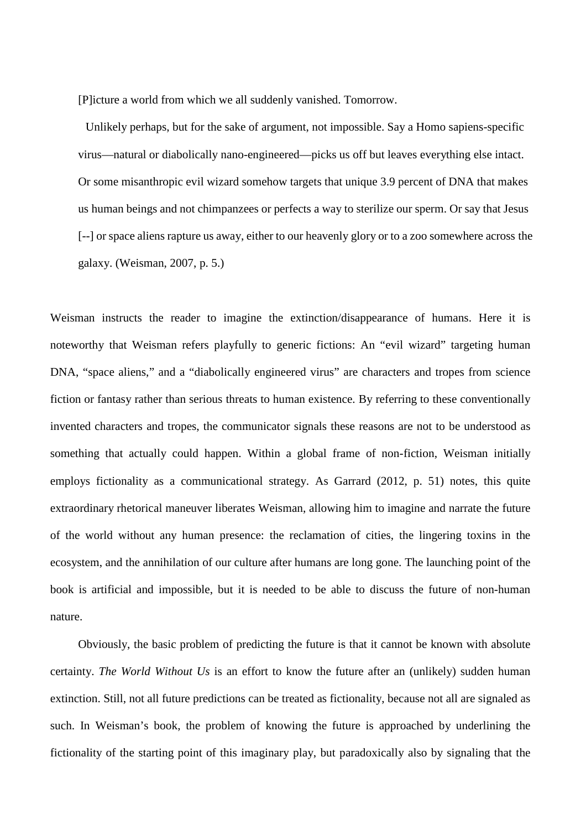[P]icture a world from which we all suddenly vanished. Tomorrow.

Unlikely perhaps, but for the sake of argument, not impossible. Say a Homo sapiens-specific virus—natural or diabolically nano-engineered—picks us off but leaves everything else intact. Or some misanthropic evil wizard somehow targets that unique 3.9 percent of DNA that makes us human beings and not chimpanzees or perfects a way to sterilize our sperm. Or say that Jesus [--] or space aliens rapture us away, either to our heavenly glory or to a zoo somewhere across the galaxy. (Weisman, 2007, p. 5.)

Weisman instructs the reader to imagine the extinction/disappearance of humans. Here it is noteworthy that Weisman refers playfully to generic fictions: An "evil wizard" targeting human DNA, "space aliens," and a "diabolically engineered virus" are characters and tropes from science fiction or fantasy rather than serious threats to human existence. By referring to these conventionally invented characters and tropes, the communicator signals these reasons are not to be understood as something that actually could happen. Within a global frame of non-fiction, Weisman initially employs fictionality as a communicational strategy. As Garrard (2012, p. 51) notes, this quite extraordinary rhetorical maneuver liberates Weisman, allowing him to imagine and narrate the future of the world without any human presence: the reclamation of cities, the lingering toxins in the ecosystem, and the annihilation of our culture after humans are long gone. The launching point of the book is artificial and impossible, but it is needed to be able to discuss the future of non-human nature.

Obviously, the basic problem of predicting the future is that it cannot be known with absolute certainty. *The World Without Us* is an effort to know the future after an (unlikely) sudden human extinction. Still, not all future predictions can be treated as fictionality, because not all are signaled as such. In Weisman's book, the problem of knowing the future is approached by underlining the fictionality of the starting point of this imaginary play, but paradoxically also by signaling that the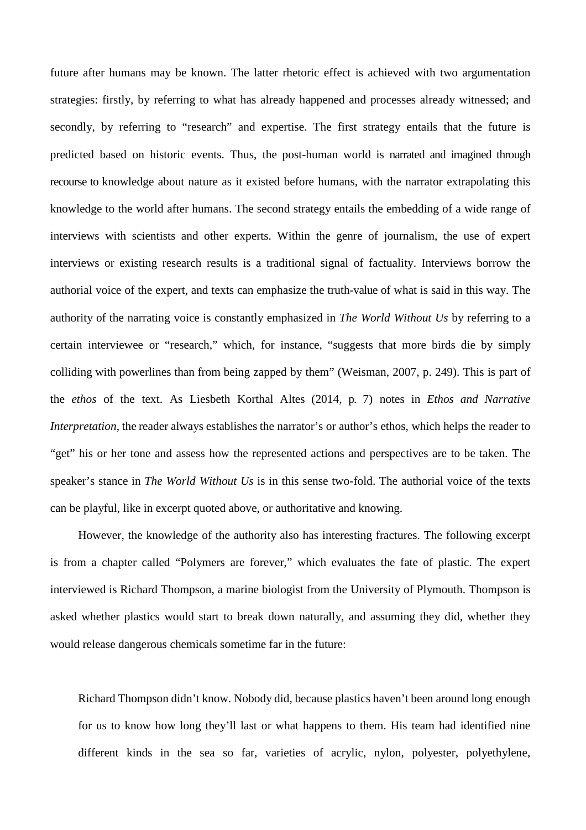future after humans may be known. The latter rhetoric effect is achieved with two argumentation strategies: firstly, by referring to what has already happened and processes already witnessed; and secondly, by referring to "research" and expertise. The first strategy entails that the future is predicted based on historic events. Thus, the post-human world is narrated and imagined through recourse to knowledge about nature as it existed before humans, with the narrator extrapolating this knowledge to the world after humans. The second strategy entails the embedding of a wide range of interviews with scientists and other experts. Within the genre of journalism, the use of expert interviews or existing research results is a traditional signal of factuality. Interviews borrow the authorial voice of the expert, and texts can emphasize the truth-value of what is said in this way. The authority of the narrating voice is constantly emphasized in *The World Without Us* by referring to a certain interviewee or "research," which, for instance, "suggests that more birds die by simply colliding with powerlines than from being zapped by them" (Weisman, 2007, p. 249). This is part of the *ethos* of the text. As Liesbeth Korthal Altes (2014, p. 7) notes in *Ethos and Narrative Interpretation*, the reader always establishes the narrator's or author's ethos, which helps the reader to "get" his or her tone and assess how the represented actions and perspectives are to be taken. The speaker's stance in *The World Without Us* is in this sense two-fold. The authorial voice of the texts can be playful, like in excerpt quoted above, or authoritative and knowing.

However, the knowledge of the authority also has interesting fractures. The following excerpt is from a chapter called "Polymers are forever," which evaluates the fate of plastic. The expert interviewed is Richard Thompson, a marine biologist from the University of Plymouth. Thompson is asked whether plastics would start to break down naturally, and assuming they did, whether they would release dangerous chemicals sometime far in the future:

Richard Thompson didn't know. Nobody did, because plastics haven't been around long enough for us to know how long they'll last or what happens to them. His team had identified nine different kinds in the sea so far, varieties of acrylic, nylon, polyester, polyethylene,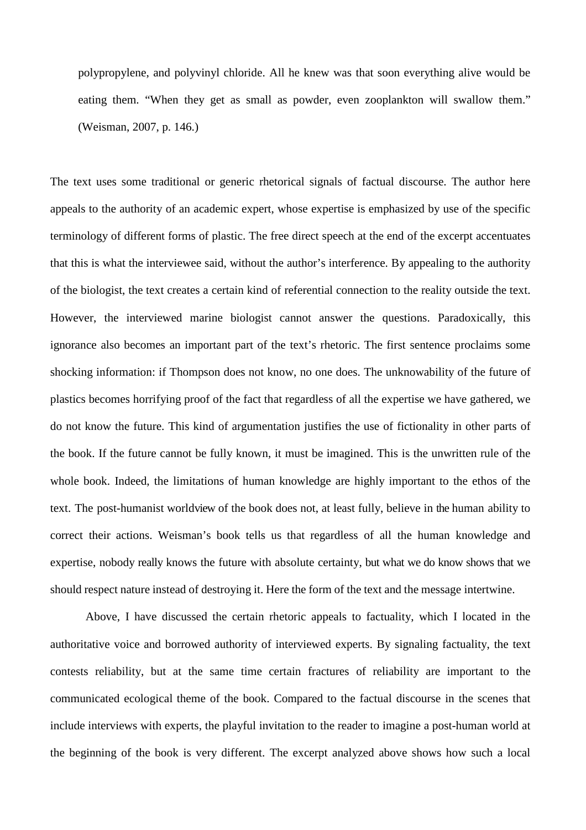polypropylene, and polyvinyl chloride. All he knew was that soon everything alive would be eating them. "When they get as small as powder, even zooplankton will swallow them." (Weisman, 2007, p. 146.)

The text uses some traditional or generic rhetorical signals of factual discourse. The author here appeals to the authority of an academic expert, whose expertise is emphasized by use of the specific terminology of different forms of plastic. The free direct speech at the end of the excerpt accentuates that this is what the interviewee said, without the author's interference. By appealing to the authority of the biologist, the text creates a certain kind of referential connection to the reality outside the text. However, the interviewed marine biologist cannot answer the questions. Paradoxically, this ignorance also becomes an important part of the text's rhetoric. The first sentence proclaims some shocking information: if Thompson does not know, no one does. The unknowability of the future of plastics becomes horrifying proof of the fact that regardless of all the expertise we have gathered, we do not know the future. This kind of argumentation justifies the use of fictionality in other parts of the book. If the future cannot be fully known, it must be imagined. This is the unwritten rule of the whole book. Indeed, the limitations of human knowledge are highly important to the ethos of the text. The post-humanist worldview of the book does not, at least fully, believe in the human ability to correct their actions. Weisman's book tells us that regardless of all the human knowledge and expertise, nobody really knows the future with absolute certainty, but what we do know shows that we should respect nature instead of destroying it. Here the form of the text and the message intertwine.

Above, I have discussed the certain rhetoric appeals to factuality, which I located in the authoritative voice and borrowed authority of interviewed experts. By signaling factuality, the text contests reliability, but at the same time certain fractures of reliability are important to the communicated ecological theme of the book. Compared to the factual discourse in the scenes that include interviews with experts, the playful invitation to the reader to imagine a post-human world at the beginning of the book is very different. The excerpt analyzed above shows how such a local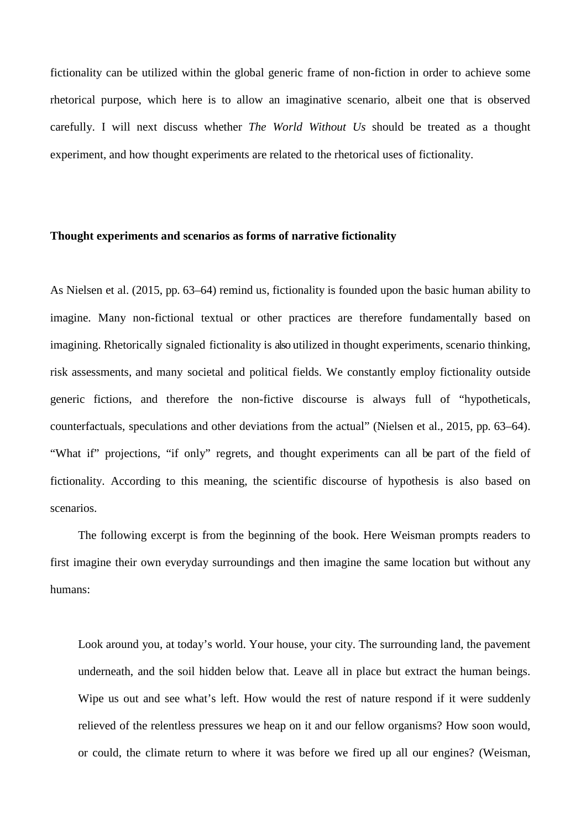fictionality can be utilized within the global generic frame of non-fiction in order to achieve some rhetorical purpose, which here is to allow an imaginative scenario, albeit one that is observed carefully. I will next discuss whether *The World Without Us* should be treated as a thought experiment, and how thought experiments are related to the rhetorical uses of fictionality.

## **Thought experiments and scenarios as forms of narrative fictionality**

As Nielsen et al. (2015, pp. 63–64) remind us, fictionality is founded upon the basic human ability to imagine. Many non-fictional textual or other practices are therefore fundamentally based on imagining. Rhetorically signaled fictionality is also utilized in thought experiments, scenario thinking, risk assessments, and many societal and political fields. We constantly employ fictionality outside generic fictions, and therefore the non-fictive discourse is always full of "hypotheticals, counterfactuals, speculations and other deviations from the actual" (Nielsen et al., 2015, pp. 63–64). "What if" projections, "if only" regrets, and thought experiments can all be part of the field of fictionality. According to this meaning, the scientific discourse of hypothesis is also based on scenarios.

The following excerpt is from the beginning of the book. Here Weisman prompts readers to first imagine their own everyday surroundings and then imagine the same location but without any humans:

Look around you, at today's world. Your house, your city. The surrounding land, the pavement underneath, and the soil hidden below that. Leave all in place but extract the human beings. Wipe us out and see what's left. How would the rest of nature respond if it were suddenly relieved of the relentless pressures we heap on it and our fellow organisms? How soon would, or could, the climate return to where it was before we fired up all our engines? (Weisman,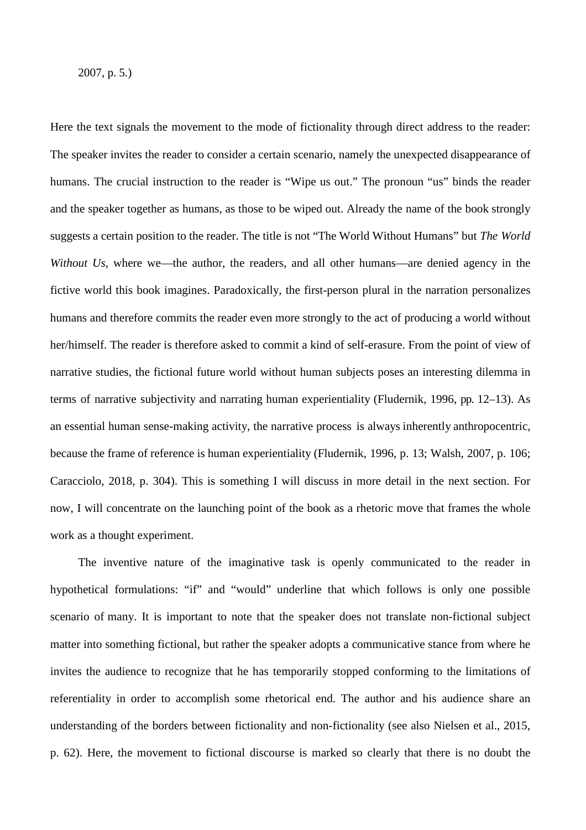## 2007, p. 5.)

Here the text signals the movement to the mode of fictionality through direct address to the reader: The speaker invites the reader to consider a certain scenario, namely the unexpected disappearance of humans. The crucial instruction to the reader is "Wipe us out." The pronoun "us" binds the reader and the speaker together as humans, as those to be wiped out. Already the name of the book strongly suggests a certain position to the reader. The title is not "The World Without Humans" but *The World Without Us*, where we—the author, the readers, and all other humans—are denied agency in the fictive world this book imagines. Paradoxically, the first-person plural in the narration personalizes humans and therefore commits the reader even more strongly to the act of producing a world without her/himself. The reader is therefore asked to commit a kind of self-erasure. From the point of view of narrative studies, the fictional future world without human subjects poses an interesting dilemma in terms of narrative subjectivity and narrating human experientiality (Fludernik, 1996, pp. 12–13). As an essential human sense-making activity, the narrative process is always inherently anthropocentric, because the frame of reference is human experientiality (Fludernik, 1996, p. 13; Walsh, 2007, p. 106; Caracciolo, 2018, p. 304). This is something I will discuss in more detail in the next section. For now, I will concentrate on the launching point of the book as a rhetoric move that frames the whole work as a thought experiment.

The inventive nature of the imaginative task is openly communicated to the reader in hypothetical formulations: "if" and "would" underline that which follows is only one possible scenario of many. It is important to note that the speaker does not translate non-fictional subject matter into something fictional, but rather the speaker adopts a communicative stance from where he invites the audience to recognize that he has temporarily stopped conforming to the limitations of referentiality in order to accomplish some rhetorical end. The author and his audience share an understanding of the borders between fictionality and non-fictionality (see also Nielsen et al., 2015, p. 62). Here, the movement to fictional discourse is marked so clearly that there is no doubt the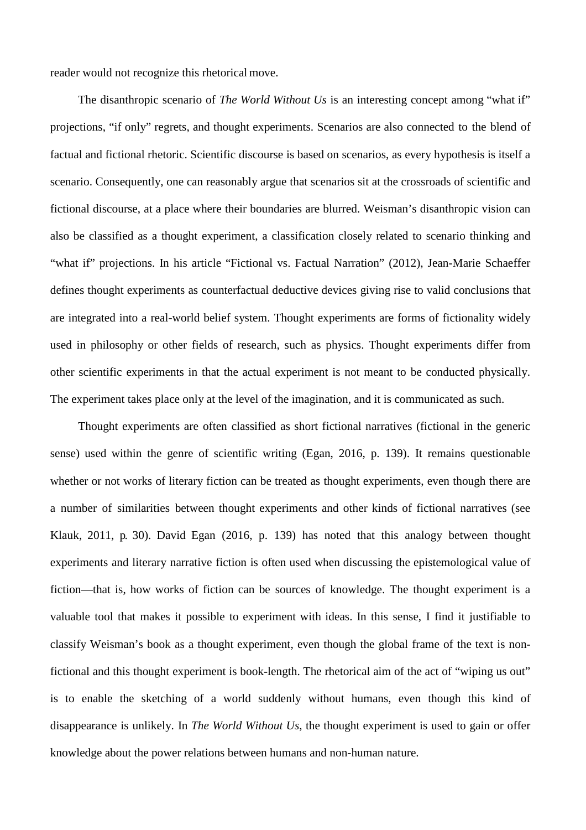reader would not recognize this rhetorical move.

The disanthropic scenario of *The World Without Us* is an interesting concept among "what if" projections, "if only" regrets, and thought experiments. Scenarios are also connected to the blend of factual and fictional rhetoric. Scientific discourse is based on scenarios, as every hypothesis is itself a scenario. Consequently, one can reasonably argue that scenarios sit at the crossroads of scientific and fictional discourse, at a place where their boundaries are blurred. Weisman's disanthropic vision can also be classified as a thought experiment, a classification closely related to scenario thinking and "what if" projections. In his article "Fictional vs. Factual Narration" (2012), Jean-Marie Schaeffer defines thought experiments as counterfactual deductive devices giving rise to valid conclusions that are integrated into a real-world belief system. Thought experiments are forms of fictionality widely used in philosophy or other fields of research, such as physics. Thought experiments differ from other scientific experiments in that the actual experiment is not meant to be conducted physically. The experiment takes place only at the level of the imagination, and it is communicated as such.

Thought experiments are often classified as short fictional narratives (fictional in the generic sense) used within the genre of scientific writing (Egan, 2016, p. 139). It remains questionable whether or not works of literary fiction can be treated as thought experiments, even though there are a number of similarities between thought experiments and other kinds of fictional narratives (see Klauk, 2011, p. 30). David Egan (2016, p. 139) has noted that this analogy between thought experiments and literary narrative fiction is often used when discussing the epistemological value of fiction—that is, how works of fiction can be sources of knowledge. The thought experiment is a valuable tool that makes it possible to experiment with ideas. In this sense, I find it justifiable to classify Weisman's book as a thought experiment, even though the global frame of the text is nonfictional and this thought experiment is book-length. The rhetorical aim of the act of "wiping us out" is to enable the sketching of a world suddenly without humans, even though this kind of disappearance is unlikely. In *The World Without Us*, the thought experiment is used to gain or offer knowledge about the power relations between humans and non-human nature.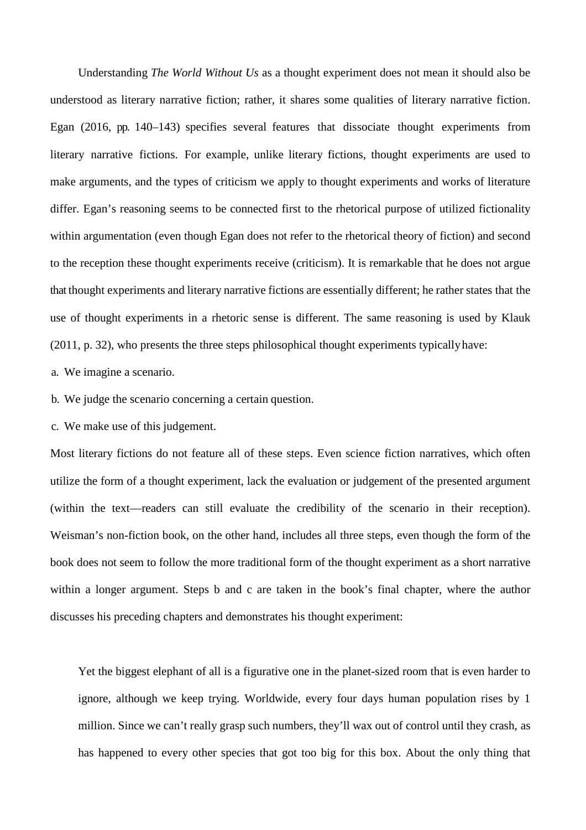Understanding *The World Without Us* as a thought experiment does not mean it should also be understood as literary narrative fiction; rather, it shares some qualities of literary narrative fiction. Egan (2016, pp. 140–143) specifies several features that dissociate thought experiments from literary narrative fictions. For example, unlike literary fictions, thought experiments are used to make arguments, and the types of criticism we apply to thought experiments and works of literature differ. Egan's reasoning seems to be connected first to the rhetorical purpose of utilized fictionality within argumentation (even though Egan does not refer to the rhetorical theory of fiction) and second to the reception these thought experiments receive (criticism). It is remarkable that he does not argue that thought experiments and literary narrative fictions are essentially different; he rather states that the use of thought experiments in a rhetoric sense is different. The same reasoning is used by Klauk (2011, p. 32), who presents the three steps philosophical thought experiments typicallyhave:

a. We imagine a scenario.

b. We judge the scenario concerning a certain question.

c. We make use of this judgement.

Most literary fictions do not feature all of these steps. Even science fiction narratives, which often utilize the form of a thought experiment, lack the evaluation or judgement of the presented argument (within the text—readers can still evaluate the credibility of the scenario in their reception). Weisman's non-fiction book, on the other hand, includes all three steps, even though the form of the book does not seem to follow the more traditional form of the thought experiment as a short narrative within a longer argument. Steps b and c are taken in the book's final chapter, where the author discusses his preceding chapters and demonstrates his thought experiment:

Yet the biggest elephant of all is a figurative one in the planet-sized room that is even harder to ignore, although we keep trying. Worldwide, every four days human population rises by 1 million. Since we can't really grasp such numbers, they'll wax out of control until they crash, as has happened to every other species that got too big for this box. About the only thing that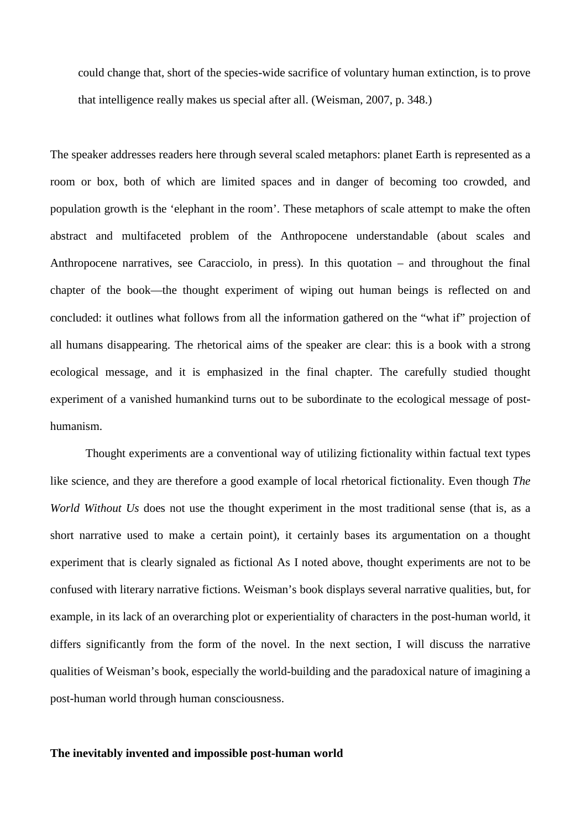could change that, short of the species-wide sacrifice of voluntary human extinction, is to prove that intelligence really makes us special after all. (Weisman, 2007, p. 348.)

The speaker addresses readers here through several scaled metaphors: planet Earth is represented as a room or box, both of which are limited spaces and in danger of becoming too crowded, and population growth is the 'elephant in the room'. These metaphors of scale attempt to make the often abstract and multifaceted problem of the Anthropocene understandable (about scales and Anthropocene narratives, see Caracciolo, in press). In this quotation – and throughout the final chapter of the book—the thought experiment of wiping out human beings is reflected on and concluded: it outlines what follows from all the information gathered on the "what if" projection of all humans disappearing. The rhetorical aims of the speaker are clear: this is a book with a strong ecological message, and it is emphasized in the final chapter. The carefully studied thought experiment of a vanished humankind turns out to be subordinate to the ecological message of posthumanism.

Thought experiments are a conventional way of utilizing fictionality within factual text types like science, and they are therefore a good example of local rhetorical fictionality. Even though *The World Without Us* does not use the thought experiment in the most traditional sense (that is, as a short narrative used to make a certain point), it certainly bases its argumentation on a thought experiment that is clearly signaled as fictional As I noted above, thought experiments are not to be confused with literary narrative fictions. Weisman's book displays several narrative qualities, but, for example, in its lack of an overarching plot or experientiality of characters in the post-human world, it differs significantly from the form of the novel. In the next section, I will discuss the narrative qualities of Weisman's book, especially the world-building and the paradoxical nature of imagining a post-human world through human consciousness.

#### **The inevitably invented and impossible post-human world**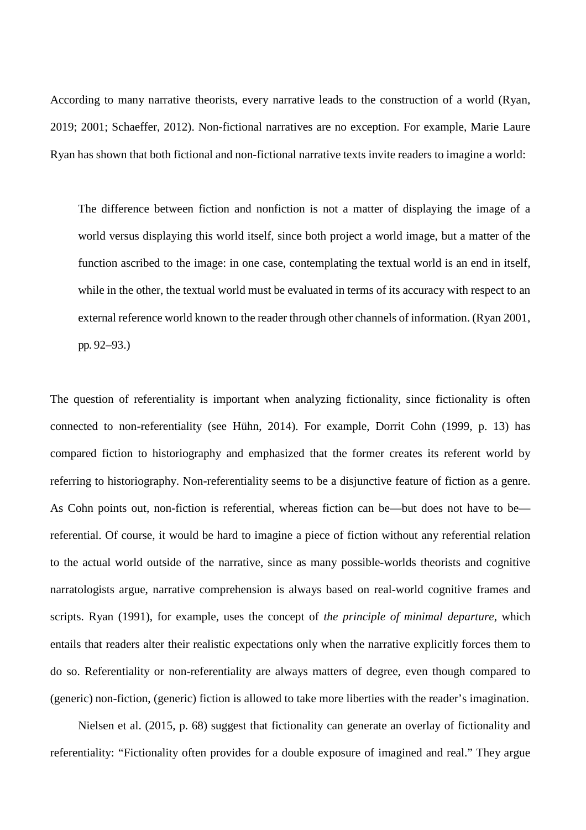According to many narrative theorists, every narrative leads to the construction of a world (Ryan, 2019; 2001; Schaeffer, 2012). Non-fictional narratives are no exception. For example, Marie Laure Ryan has shown that both fictional and non-fictional narrative texts invite readers to imagine a world:

The difference between fiction and nonfiction is not a matter of displaying the image of a world versus displaying this world itself, since both project a world image, but a matter of the function ascribed to the image: in one case, contemplating the textual world is an end in itself, while in the other, the textual world must be evaluated in terms of its accuracy with respect to an external reference world known to the reader through other channels of information. (Ryan 2001, pp. 92–93.)

The question of referentiality is important when analyzing fictionality, since fictionality is often connected to non-referentiality (see Hühn, 2014). For example, Dorrit Cohn (1999, p. 13) has compared fiction to historiography and emphasized that the former creates its referent world by referring to historiography. Non-referentiality seems to be a disjunctive feature of fiction as a genre. As Cohn points out, non-fiction is referential, whereas fiction can be—but does not have to be referential. Of course, it would be hard to imagine a piece of fiction without any referential relation to the actual world outside of the narrative, since as many possible-worlds theorists and cognitive narratologists argue, narrative comprehension is always based on real-world cognitive frames and scripts. Ryan (1991), for example, uses the concept of *the principle of minimal departure*, which entails that readers alter their realistic expectations only when the narrative explicitly forces them to do so. Referentiality or non-referentiality are always matters of degree, even though compared to (generic) non-fiction, (generic) fiction is allowed to take more liberties with the reader's imagination.

Nielsen et al. (2015, p. 68) suggest that fictionality can generate an overlay of fictionality and referentiality: "Fictionality often provides for a double exposure of imagined and real." They argue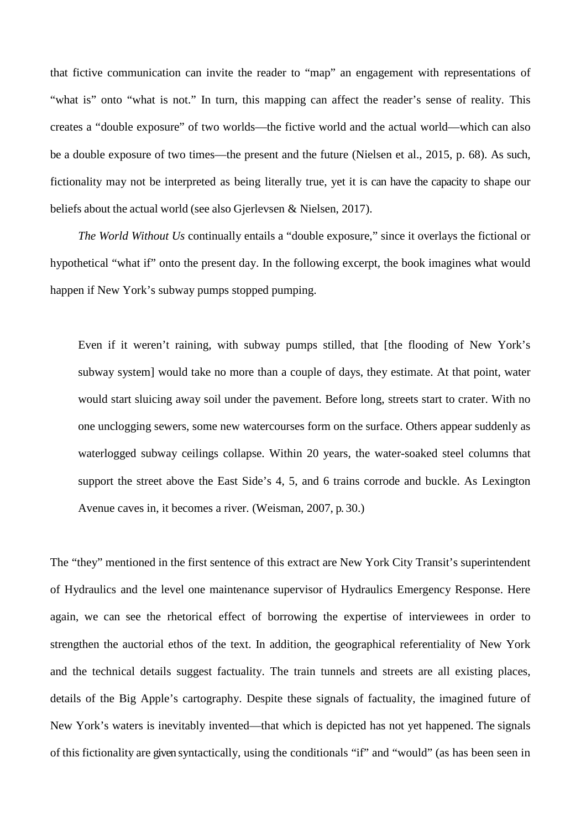that fictive communication can invite the reader to "map" an engagement with representations of "what is" onto "what is not." In turn, this mapping can affect the reader's sense of reality. This creates a "double exposure" of two worlds—the fictive world and the actual world—which can also be a double exposure of two times—the present and the future (Nielsen et al., 2015, p. 68). As such, fictionality may not be interpreted as being literally true, yet it is can have the capacity to shape our beliefs about the actual world (see also Gjerlevsen & Nielsen, 2017).

*The World Without Us* continually entails a "double exposure," since it overlays the fictional or hypothetical "what if" onto the present day. In the following excerpt, the book imagines what would happen if New York's subway pumps stopped pumping.

Even if it weren't raining, with subway pumps stilled, that [the flooding of New York's subway system] would take no more than a couple of days, they estimate. At that point, water would start sluicing away soil under the pavement. Before long, streets start to crater. With no one unclogging sewers, some new watercourses form on the surface. Others appear suddenly as waterlogged subway ceilings collapse. Within 20 years, the water-soaked steel columns that support the street above the East Side's 4, 5, and 6 trains corrode and buckle. As Lexington Avenue caves in, it becomes a river. (Weisman, 2007, p. 30.)

The "they" mentioned in the first sentence of this extract are New York City Transit's superintendent of Hydraulics and the level one maintenance supervisor of Hydraulics Emergency Response. Here again, we can see the rhetorical effect of borrowing the expertise of interviewees in order to strengthen the auctorial ethos of the text. In addition, the geographical referentiality of New York and the technical details suggest factuality. The train tunnels and streets are all existing places, details of the Big Apple's cartography. Despite these signals of factuality, the imagined future of New York's waters is inevitably invented—that which is depicted has not yet happened. The signals of this fictionality are given syntactically, using the conditionals "if" and "would" (as has been seen in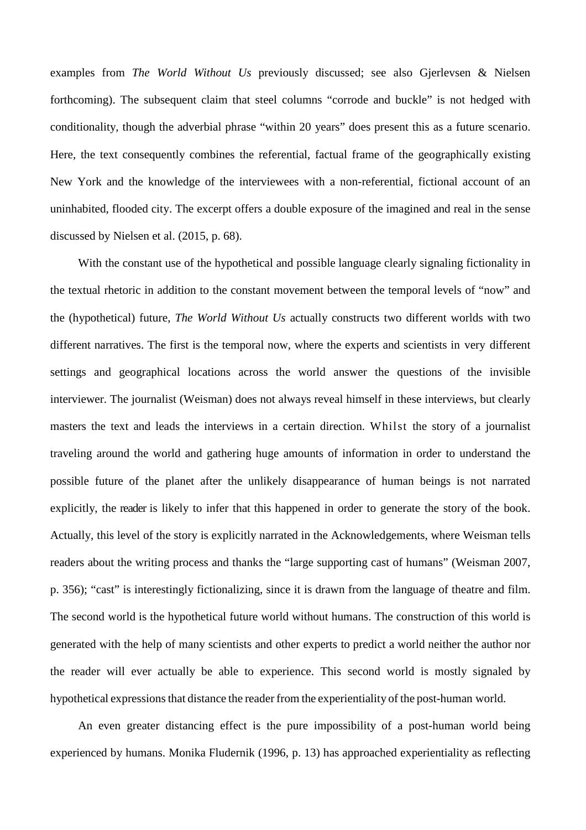examples from *The World Without Us* previously discussed; see also Gjerlevsen & Nielsen forthcoming). The subsequent claim that steel columns "corrode and buckle" is not hedged with conditionality, though the adverbial phrase "within 20 years" does present this as a future scenario. Here, the text consequently combines the referential, factual frame of the geographically existing New York and the knowledge of the interviewees with a non-referential, fictional account of an uninhabited, flooded city. The excerpt offers a double exposure of the imagined and real in the sense discussed by Nielsen et al. (2015, p. 68).

With the constant use of the hypothetical and possible language clearly signaling fictionality in the textual rhetoric in addition to the constant movement between the temporal levels of "now" and the (hypothetical) future, *The World Without Us* actually constructs two different worlds with two different narratives. The first is the temporal now, where the experts and scientists in very different settings and geographical locations across the world answer the questions of the invisible interviewer. The journalist (Weisman) does not always reveal himself in these interviews, but clearly masters the text and leads the interviews in a certain direction. Whilst the story of a journalist traveling around the world and gathering huge amounts of information in order to understand the possible future of the planet after the unlikely disappearance of human beings is not narrated explicitly, the reader is likely to infer that this happened in order to generate the story of the book. Actually, this level of the story is explicitly narrated in the Acknowledgements, where Weisman tells readers about the writing process and thanks the "large supporting cast of humans" (Weisman 2007, p. 356); "cast" is interestingly fictionalizing, since it is drawn from the language of theatre and film. The second world is the hypothetical future world without humans. The construction of this world is generated with the help of many scientists and other experts to predict a world neither the author nor the reader will ever actually be able to experience. This second world is mostly signaled by hypothetical expressions that distance the reader from the experientiality of the post-human world.

An even greater distancing effect is the pure impossibility of a post-human world being experienced by humans. Monika Fludernik (1996, p. 13) has approached experientiality as reflecting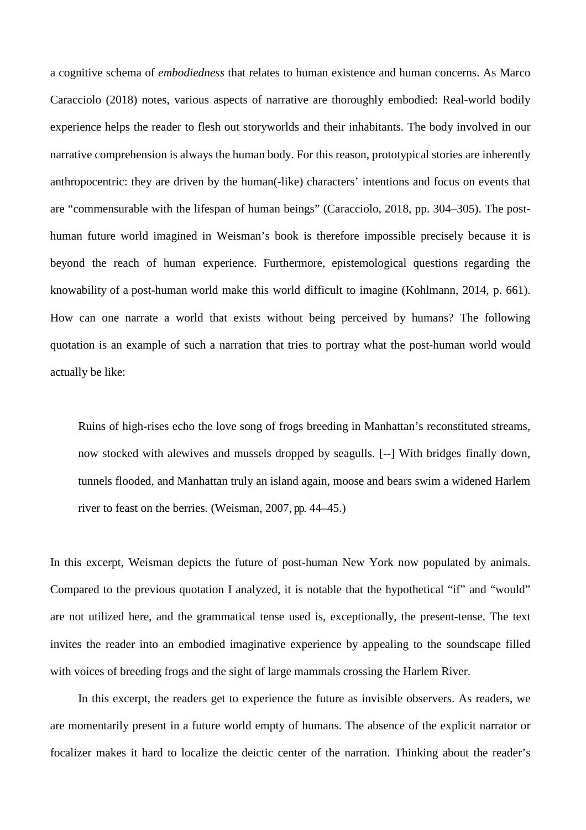a cognitive schema of *embodiedness* that relates to human existence and human concerns. As Marco Caracciolo (2018) notes, various aspects of narrative are thoroughly embodied: Real-world bodily experience helps the reader to flesh out storyworlds and their inhabitants. The body involved in our narrative comprehension is always the human body. For this reason, prototypical stories are inherently anthropocentric: they are driven by the human(-like) characters' intentions and focus on events that are "commensurable with the lifespan of human beings" (Caracciolo, 2018, pp. 304–305). The posthuman future world imagined in Weisman's book is therefore impossible precisely because it is beyond the reach of human experience. Furthermore, epistemological questions regarding the knowability of a post-human world make this world difficult to imagine (Kohlmann, 2014, p. 661). How can one narrate a world that exists without being perceived by humans? The following quotation is an example of such a narration that tries to portray what the post-human world would actually be like:

Ruins of high-rises echo the love song of frogs breeding in Manhattan's reconstituted streams, now stocked with alewives and mussels dropped by seagulls. [--] With bridges finally down, tunnels flooded, and Manhattan truly an island again, moose and bears swim a widened Harlem river to feast on the berries. (Weisman, 2007, pp. 44–45.)

In this excerpt, Weisman depicts the future of post-human New York now populated by animals. Compared to the previous quotation I analyzed, it is notable that the hypothetical "if" and "would" are not utilized here, and the grammatical tense used is, exceptionally, the present-tense. The text invites the reader into an embodied imaginative experience by appealing to the soundscape filled with voices of breeding frogs and the sight of large mammals crossing the Harlem River.

In this excerpt, the readers get to experience the future as invisible observers. As readers, we are momentarily present in a future world empty of humans. The absence of the explicit narrator or focalizer makes it hard to localize the deictic center of the narration. Thinking about the reader's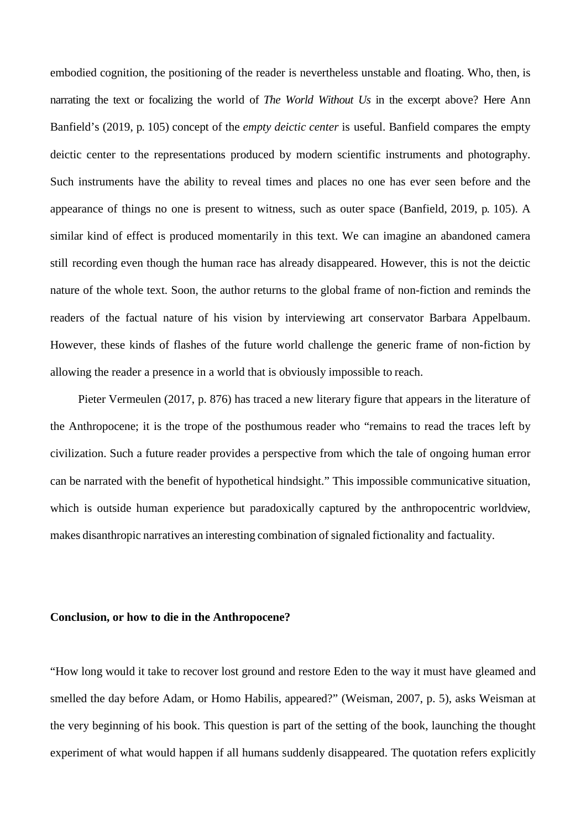embodied cognition, the positioning of the reader is nevertheless unstable and floating. Who, then, is narrating the text or focalizing the world of *The World Without Us* in the excerpt above? Here Ann Banfield's (2019, p. 105) concept of the *empty deictic center* is useful. Banfield compares the empty deictic center to the representations produced by modern scientific instruments and photography. Such instruments have the ability to reveal times and places no one has ever seen before and the appearance of things no one is present to witness, such as outer space (Banfield, 2019, p. 105). A similar kind of effect is produced momentarily in this text. We can imagine an abandoned camera still recording even though the human race has already disappeared. However, this is not the deictic nature of the whole text. Soon, the author returns to the global frame of non-fiction and reminds the readers of the factual nature of his vision by interviewing art conservator Barbara Appelbaum. However, these kinds of flashes of the future world challenge the generic frame of non-fiction by allowing the reader a presence in a world that is obviously impossible to reach.

Pieter Vermeulen (2017, p. 876) has traced a new literary figure that appears in the literature of the Anthropocene; it is the trope of the posthumous reader who "remains to read the traces left by civilization. Such a future reader provides a perspective from which the tale of ongoing human error can be narrated with the benefit of hypothetical hindsight." This impossible communicative situation, which is outside human experience but paradoxically captured by the anthropocentric worldview, makes disanthropic narratives an interesting combination of signaled fictionality and factuality.

#### **Conclusion, or how to die in the Anthropocene?**

"How long would it take to recover lost ground and restore Eden to the way it must have gleamed and smelled the day before Adam, or Homo Habilis, appeared?" (Weisman, 2007, p. 5), asks Weisman at the very beginning of his book. This question is part of the setting of the book, launching the thought experiment of what would happen if all humans suddenly disappeared. The quotation refers explicitly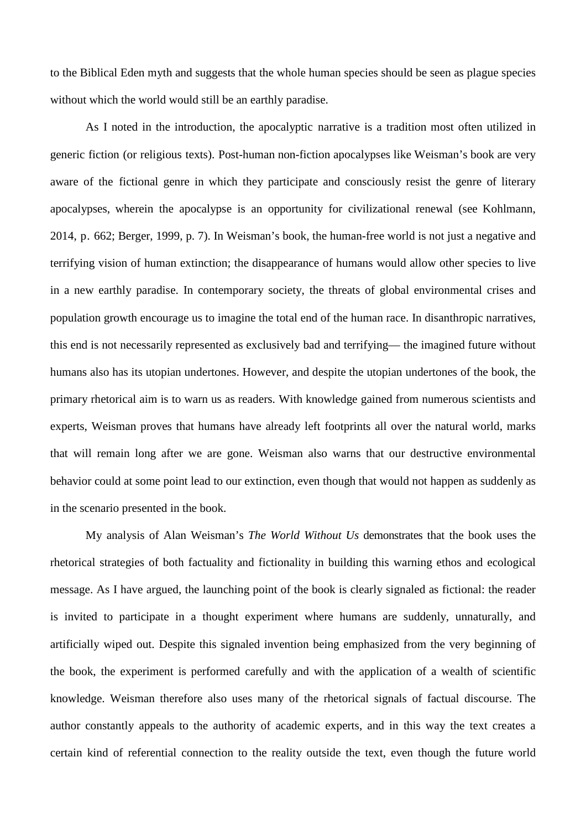to the Biblical Eden myth and suggests that the whole human species should be seen as plague species without which the world would still be an earthly paradise.

As I noted in the introduction, the apocalyptic narrative is a tradition most often utilized in generic fiction (or religious texts). Post-human non-fiction apocalypses like Weisman's book are very aware of the fictional genre in which they participate and consciously resist the genre of literary apocalypses, wherein the apocalypse is an opportunity for civilizational renewal (see Kohlmann, 2014, p. 662; Berger, 1999, p. 7). In Weisman's book, the human-free world is not just a negative and terrifying vision of human extinction; the disappearance of humans would allow other species to live in a new earthly paradise. In contemporary society, the threats of global environmental crises and population growth encourage us to imagine the total end of the human race. In disanthropic narratives, this end is not necessarily represented as exclusively bad and terrifying— the imagined future without humans also has its utopian undertones. However, and despite the utopian undertones of the book, the primary rhetorical aim is to warn us as readers. With knowledge gained from numerous scientists and experts, Weisman proves that humans have already left footprints all over the natural world, marks that will remain long after we are gone. Weisman also warns that our destructive environmental behavior could at some point lead to our extinction, even though that would not happen as suddenly as in the scenario presented in the book.

My analysis of Alan Weisman's *The World Without Us* demonstrates that the book uses the rhetorical strategies of both factuality and fictionality in building this warning ethos and ecological message. As I have argued, the launching point of the book is clearly signaled as fictional: the reader is invited to participate in a thought experiment where humans are suddenly, unnaturally, and artificially wiped out. Despite this signaled invention being emphasized from the very beginning of the book, the experiment is performed carefully and with the application of a wealth of scientific knowledge. Weisman therefore also uses many of the rhetorical signals of factual discourse. The author constantly appeals to the authority of academic experts, and in this way the text creates a certain kind of referential connection to the reality outside the text, even though the future world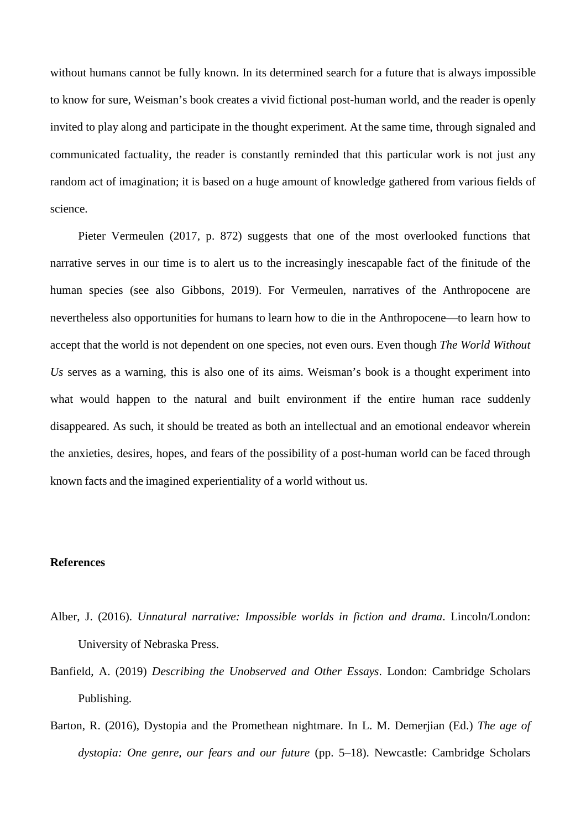without humans cannot be fully known. In its determined search for a future that is always impossible to know for sure, Weisman's book creates a vivid fictional post-human world, and the reader is openly invited to play along and participate in the thought experiment. At the same time, through signaled and communicated factuality, the reader is constantly reminded that this particular work is not just any random act of imagination; it is based on a huge amount of knowledge gathered from various fields of science.

Pieter Vermeulen (2017, p. 872) suggests that one of the most overlooked functions that narrative serves in our time is to alert us to the increasingly inescapable fact of the finitude of the human species (see also Gibbons, 2019). For Vermeulen, narratives of the Anthropocene are nevertheless also opportunities for humans to learn how to die in the Anthropocene—to learn how to accept that the world is not dependent on one species, not even ours. Even though *The World Without Us* serves as a warning, this is also one of its aims. Weisman's book is a thought experiment into what would happen to the natural and built environment if the entire human race suddenly disappeared. As such, it should be treated as both an intellectual and an emotional endeavor wherein the anxieties, desires, hopes, and fears of the possibility of a post-human world can be faced through known facts and the imagined experientiality of a world without us.

## **References**

- Alber, J. (2016). *Unnatural narrative: Impossible worlds in fiction and drama*. Lincoln/London: University of Nebraska Press.
- Banfield, A. (2019) *Describing the Unobserved and Other Essays*. London: Cambridge Scholars Publishing.
- Barton, R. (2016), Dystopia and the Promethean nightmare. In L. M. Demerjian (Ed.) *The age of dystopia: One genre, our fears and our future* (pp. 5–18). Newcastle: Cambridge Scholars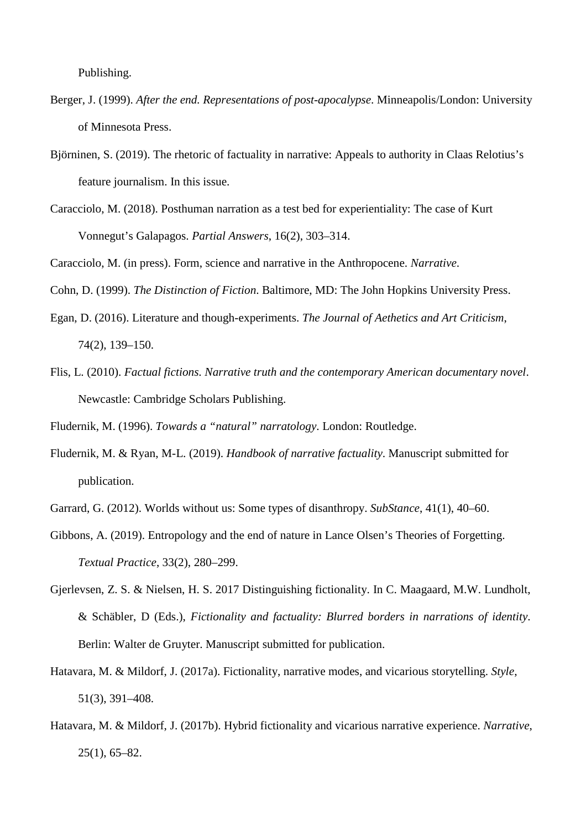Publishing.

- Berger, J. (1999). *After the end. Representations of post-apocalypse*. Minneapolis/London: University of Minnesota Press.
- Björninen, S. (2019). The rhetoric of factuality in narrative: Appeals to authority in Claas Relotius's feature journalism. In this issue.
- Caracciolo, M. (2018). Posthuman narration as a test bed for experientiality: The case of Kurt Vonnegut's Galapagos. *Partial Answers*, 16(2), 303–314.

Caracciolo, M. (in press). Form, science and narrative in the Anthropocene. *Narrative*.

Cohn, D. (1999). *The Distinction of Fiction*. Baltimore, MD: The John Hopkins University Press.

- Egan, D. (2016). Literature and though-experiments. *The Journal of Aethetics and Art Criticism*, 74(2), 139–150.
- Flis, L. (2010). *Factual fictions. Narrative truth and the contemporary American documentary novel*. Newcastle: Cambridge Scholars Publishing.

Fludernik, M. (1996). *Towards a "natural" narratology*. London: Routledge.

Fludernik, M. & Ryan, M-L. (2019). *Handbook of narrative factuality*. Manuscript submitted for publication.

Garrard, G. (2012). Worlds without us: Some types of disanthropy. *SubStance*, 41(1), 40–60.

- Gibbons, A. (2019). Entropology and the end of nature in Lance Olsen's Theories of Forgetting. *Textual Practice*, 33(2), 280–299.
- Gjerlevsen, Z. S. & Nielsen, H. S. 2017 Distinguishing fictionality. In C. Maagaard, M.W. Lundholt, & Schäbler, D (Eds.), *Fictionality and factuality: Blurred borders in narrations of identity*. Berlin: Walter de Gruyter. Manuscript submitted for publication.
- Hatavara, M. & Mildorf, J. (2017a). Fictionality, narrative modes, and vicarious storytelling. *Style*, 51(3), 391–408.
- Hatavara, M. & Mildorf, J. (2017b). Hybrid fictionality and vicarious narrative experience. *Narrative*, 25(1), 65–82.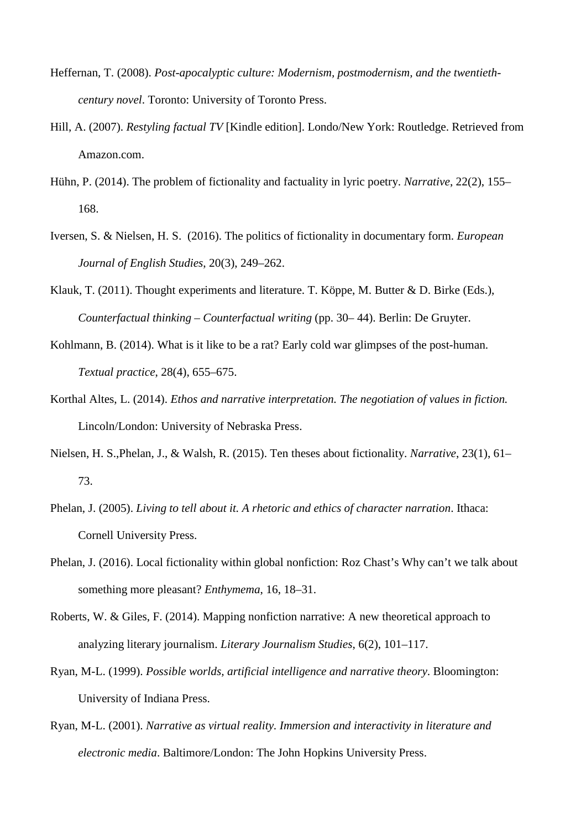- Heffernan, T. (2008). *Post-apocalyptic culture: Modernism, postmodernism, and the twentiethcentury novel*. Toronto: University of Toronto Press.
- Hill, A. (2007). *Restyling factual TV* [Kindle edition]. Londo/New York: Routledge. Retrieved from Amazon.com.
- Hühn, P. (2014). The problem of fictionality and factuality in lyric poetry. *Narrative*, 22(2), 155– 168.
- Iversen, S. & Nielsen, H. S. (2016). The politics of fictionality in documentary form. *European Journal of English Studies*, 20(3), 249–262.
- Klauk, T. (2011). Thought experiments and literature. T. Köppe, M. Butter & D. Birke (Eds.), *Counterfactual thinking – Counterfactual writing* (pp. 30– 44). Berlin: De Gruyter.
- Kohlmann, B. (2014). What is it like to be a rat? Early cold war glimpses of the post-human. *Textual practice*, 28(4), 655–675.
- Korthal Altes, L. (2014). *Ethos and narrative interpretation. The negotiation of values in fiction.* Lincoln/London: University of Nebraska Press.
- Nielsen, H. S.,Phelan, J., & Walsh, R. (2015). Ten theses about fictionality. *Narrative*, 23(1), 61– 73.
- Phelan, J. (2005). *Living to tell about it. A rhetoric and ethics of character narration*. Ithaca: Cornell University Press.
- Phelan, J. (2016). Local fictionality within global nonfiction: Roz Chast's Why can't we talk about something more pleasant? *Enthymema*, 16, 18–31.
- Roberts, W. & Giles, F. (2014). Mapping nonfiction narrative: A new theoretical approach to analyzing literary journalism. *Literary Journalism Studies*, 6(2), 101–117.
- Ryan, M-L. (1999). *Possible worlds, artificial intelligence and narrative theory*. Bloomington: University of Indiana Press.
- Ryan, M-L. (2001). *Narrative as virtual reality. Immersion and interactivity in literature and electronic media*. Baltimore/London: The John Hopkins University Press.